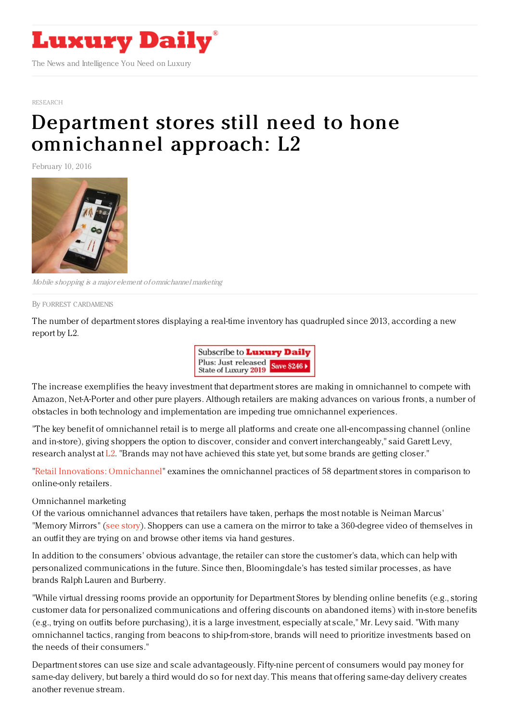

[RESEARCH](https://www.luxurydaily.com/category/news/research/)

## Department stores still need to hone [omnichannel](https://www.luxurydaily.com/department-stores-still-need-to-hone-omnichannel-approach-l2/) approach: L2

February 10, 2016



Mobile shopping is <sup>a</sup> major element of omnichannel marketing

By FORREST [CARDAMENIS](file:///author/forrest-cardamenis)

The number of department stores displaying a real-time inventory has quadrupled since 2013, according a new report by L2.



The increase exemplifies the heavy investment that department stores are making in omnichannel to compete with Amazon, Net-A-Porter and other pure players. Although retailers are making advances on various fronts, a number of obstacles in both technology and implementation are impeding true omnichannel experiences.

"The key benefit of omnichannel retail is to merge all platforms and create one all-encompassing channel (online and in-store), giving shoppers the option to discover, consider and convert interchangeably," said Garett Levy, research analyst at [L2](http://www.l2inc.com/). "Brands may not have achieved this state yet, but some brands are getting closer."

"Retail Innovations: [Omnichannel](http://www.l2inc.com/research/retail-innovations-omnichannel)" examines the omnichannel practices of 58 department stores in comparison to online-only retailers.

## Omnichannel marketing

Of the various omnichannel advances that retailers have taken, perhaps the most notable is Neiman Marcus' "Memory Mirrors" (see [story](https://www.luxurydaily.com/neiman-marcus-assists-with-purchase-decisions-through-digital-mirror/)). Shoppers can use a camera on the mirror to take a 360-degree video of themselves in an outfit they are trying on and browse other items via hand gestures.

In addition to the consumers' obvious advantage, the retailer can store the customer's data, which can help with personalized communications in the future. Since then, Bloomingdale's has tested similar processes, as have brands Ralph Lauren and Burberry.

"While virtual dressing rooms provide an opportunity for Department Stores by blending online benefits (e.g., storing customer data for personalized communications and offering discounts on abandoned items) with in-store benefits (e.g., trying on outfits before purchasing), it is a large investment, especially at scale," Mr. Levy said. "With many omnichannel tactics, ranging from beacons to ship-from-store, brands will need to prioritize investments based on the needs of their consumers."

Department stores can use size and scale advantageously. Fifty-nine percent of consumers would pay money for same-day delivery, but barely a third would do so for next day. This means that offering same-day delivery creates another revenue stream.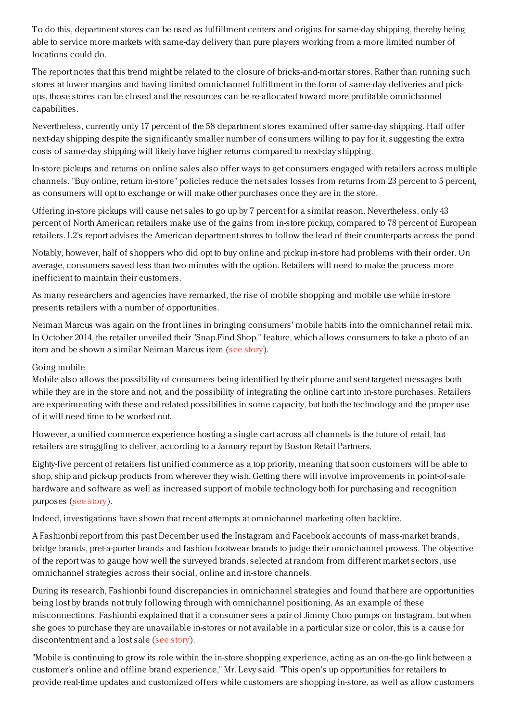To do this, department stores can be used as fulfillment centers and origins for same-day shipping, thereby being able to service more markets with same-day delivery than pure players working from a more limited number of locations could do.

The report notes that this trend might be related to the closure of bricks-and-mortar stores. Rather than running such stores at lower margins and having limited omnichannel fulfillment in the form of same-day deliveries and pickups, those stores can be closed and the resources can be re-allocated toward more profitable omnichannel capabilities.

Nevertheless, currently only 17 percent of the 58 department stores examined offer same-day shipping. Half offer next-day shipping despite the significantly smaller number of consumers willing to pay for it, suggesting the extra costs of same-day shipping will likely have higher returns compared to next-day shipping.

In-store pickups and returns on online sales also offer ways to get consumers engaged with retailers across multiple channels. "Buy online, return in-store" policies reduce the net sales losses from returns from 23 percent to 5 percent, as consumers will opt to exchange or will make other purchases once they are in the store.

Offering in-store pickups will cause net sales to go up by 7 percent for a similar reason. Nevertheless, only 43 percent of North American retailers make use of the gains from in-store pickup, compared to 78 percent of European retailers. L2's report advises the American department stores to follow the lead of their counterparts across the pond.

Notably, however, half of shoppers who did opt to buy online and pickup in-store had problems with their order. On average, consumers saved less than two minutes with the option. Retailers will need to make the process more inefficient to maintain their customers.

As many researchers and agencies have remarked, the rise of mobile shopping and mobile use while in-store presents retailers with a number of opportunities.

Neiman Marcus was again on the front lines in bringing consumers' mobile habits into the omnichannel retail mix. In October 2014, the retailer unveiled their "Snap.Find.Shop." feature, which allows consumers to take a photo of an item and be shown a similar Neiman Marcus item (see [story](https://www.luxurydaily.com/neiman-marcus-simplifies-purchase-process-with-mobile-photo-feature/)).

## Going mobile

Mobile also allows the possibility of consumers being identified by their phone and sent targeted messages both while they are in the store and not, and the possibility of integrating the online cart into in-store purchases. Retailers are experimenting with these and related possibilities in some capacity, but both the technology and the proper use of it will need time to be worked out.

However, a unified commerce experience hosting a single cart across all channels is the future of retail, but retailers are struggling to deliver, according to a January report by Boston Retail Partners.

Eighty-five percent of retailers list unified commerce as a top priority, meaning that soon customers will be able to shop, ship and pick-up products from wherever they wish. Getting there will involve improvements in point-of-sale hardware and software as well as increased support of mobile technology both for purchasing and recognition purposes (see [story](https://www.luxurydaily.com/true-omnichannel-shopping-experiences-still-years-away-brp-luxury-daily-research/)).

Indeed, investigations have shown that recent attempts at omnichannel marketing often backfire.

A Fashionbi report from this past December used the Instagram and Facebook accounts of mass-market brands, bridge brands, pret-a-porter brands and fashion footwear brands to judge their omnichannel prowess. The objective of the report was to gauge how well the surveyed brands, selected at random from different market sectors, use omnichannel strategies across their social, online and in-store channels.

During its research, Fashionbi found discrepancies in omnichannel strategies and found that here are opportunities being lost by brands not truly following through with omnichannel positioning. As an example of these misconnections, Fashionbi explained that if a consumer sees a pair of Jimmy Choo pumps on Instagram, but when she goes to purchase they are unavailable in-stores or not available in a particular size or color, this is a cause for discontentment and a lost sale (see [story](https://www.luxurydaily.com/social-posts-impact-78pc-of-consumer-purcahses-fashionbi/)).

"Mobile is continuing to grow its role within the in-store shopping experience, acting as an on-the-go link between a customer's online and offline brand experience," Mr. Levy said. "This open's up opportunities for retailers to provide real-time updates and customized offers while customers are shopping in-store, as well as allow customers